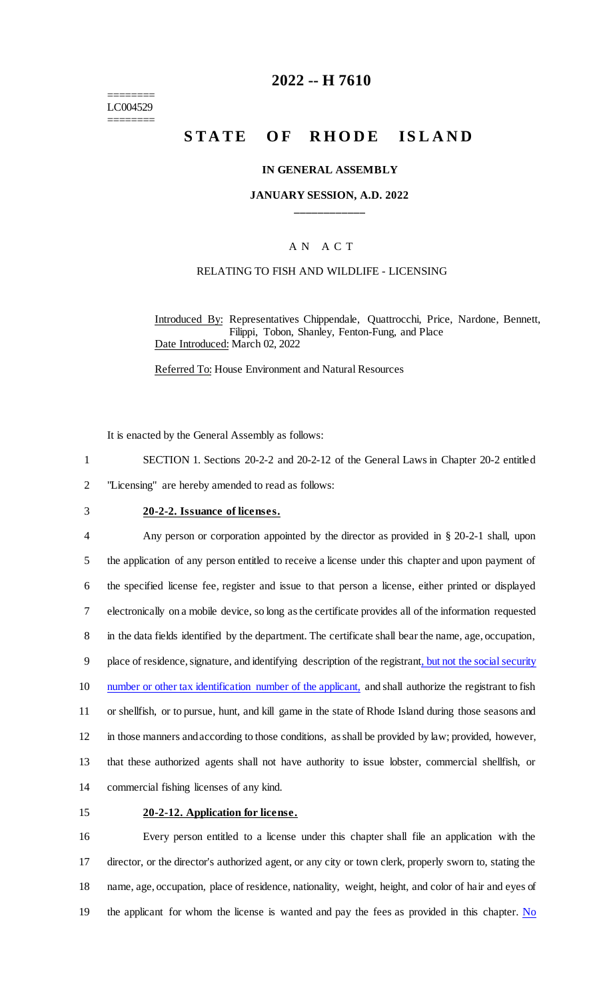======== LC004529 ========

# **2022 -- H 7610**

# **STATE OF RHODE ISLAND**

### **IN GENERAL ASSEMBLY**

## **JANUARY SESSION, A.D. 2022 \_\_\_\_\_\_\_\_\_\_\_\_**

### A N A C T

### RELATING TO FISH AND WILDLIFE - LICENSING

Introduced By: Representatives Chippendale, Quattrocchi, Price, Nardone, Bennett, Filippi, Tobon, Shanley, Fenton-Fung, and Place Date Introduced: March 02, 2022

Referred To: House Environment and Natural Resources

It is enacted by the General Assembly as follows:

1 SECTION 1. Sections 20-2-2 and 20-2-12 of the General Laws in Chapter 20-2 entitled

2 "Licensing" are hereby amended to read as follows:

# 3 **20-2-2. Issuance of licenses.**

 Any person or corporation appointed by the director as provided in § 20-2-1 shall, upon the application of any person entitled to receive a license under this chapter and upon payment of the specified license fee, register and issue to that person a license, either printed or displayed electronically on a mobile device, so long as the certificate provides all of the information requested in the data fields identified by the department. The certificate shall bear the name, age, occupation, 9 place of residence, signature, and identifying description of the registrant, but not the social security 10 number or other tax identification number of the applicant, and shall authorize the registrant to fish or shellfish, or to pursue, hunt, and kill game in the state of Rhode Island during those seasons and in those manners and according to those conditions, as shall be provided by law; provided, however, that these authorized agents shall not have authority to issue lobster, commercial shellfish, or commercial fishing licenses of any kind.

# 15 **20-2-12. Application for license.**

 Every person entitled to a license under this chapter shall file an application with the director, or the director's authorized agent, or any city or town clerk, properly sworn to, stating the name, age, occupation, place of residence, nationality, weight, height, and color of hair and eyes of 19 the applicant for whom the license is wanted and pay the fees as provided in this chapter.  $N<sub>o</sub>$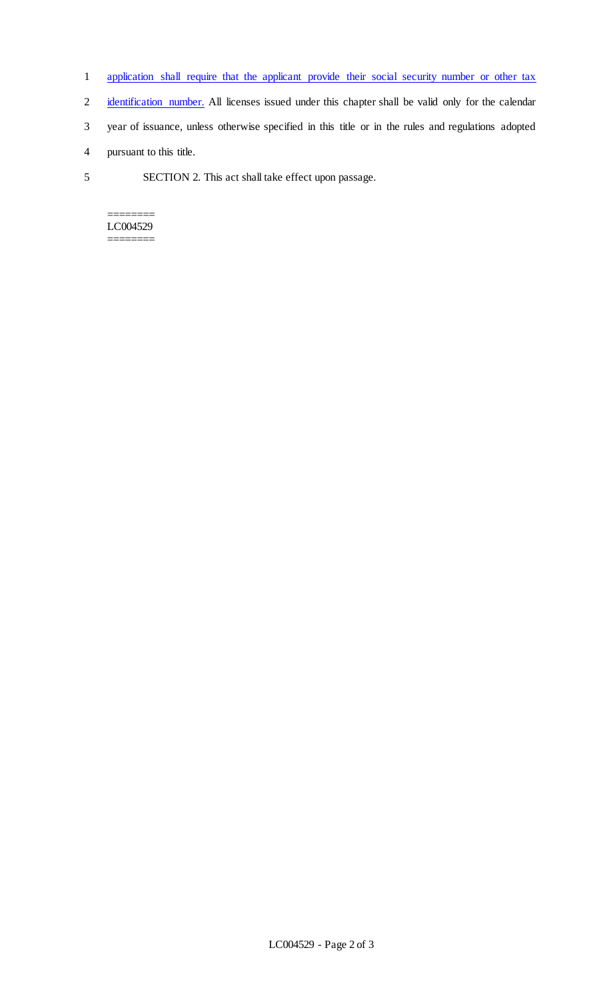- 1 application shall require that the applicant provide their social security number or other tax
- 2 identification number. All licenses issued under this chapter shall be valid only for the calendar
- 3 year of issuance, unless otherwise specified in this title or in the rules and regulations adopted
- 4 pursuant to this title.
- 5 SECTION 2. This act shall take effect upon passage.

======== LC004529 ========